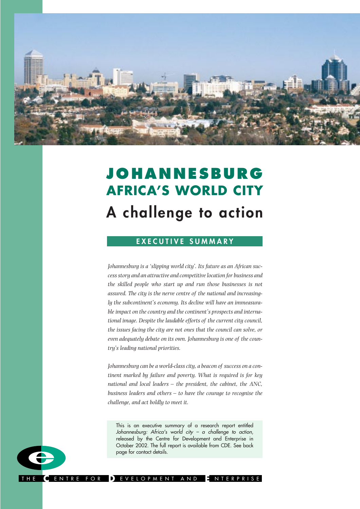

# **JOHANNESBURG AFRICA'S WORLD CITY A challenge to action**

# **EXECUTIVE SUMMARY**

*Johannesburg is a 'slipping world city'. Its future as an African success story and an attractive and competitive location for business and the skilled people who start up and run those businesses is not assured. The city is the nerve centre of the national and increasingly the subcontinent's economy. Its decline will have an immeasurable impact on the country and the continent's prospects and international image. Despite the laudable efforts of the current city council, the issues facing the city are not ones that the council can solve, or even adequately debate on its own. Johannesburg is one of the country's leading national priorities.*

*Johannesburg can be a world-class city, a beacon of success on a continent marked by failure and poverty. What is required is for key national and local leaders – the president, the cabinet, the ANC, business leaders and others – to have the courage to recognise the challenge, and act boldly to meet it.*

This is an executive summary of a research report entitled Johannesburg: Africa's world city – a challenge to action, released by the Centre for Development and Enterprise in October 2002. The full report is available from CDE. See back page for contact details.



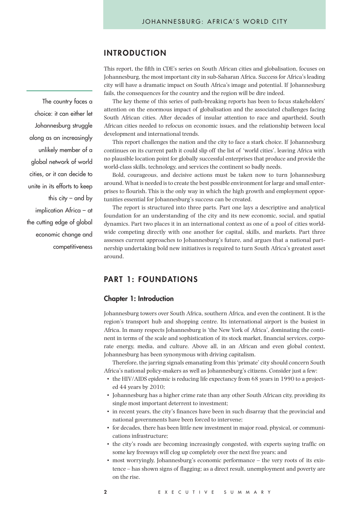# **INTRODUCTION**

This report, the fifth in CDE's series on South African cities and globalisation, focuses on Johannesburg, the most important city in sub-Saharan Africa. Success for Africa's leading city will have a dramatic impact on South Africa's image and potential. If Johannesburg fails, the consequences for the country and the region will be dire indeed.

The key theme of this series of path-breaking reports has been to focus stakeholders' attention on the enormous impact of globalisation and the associated challenges facing South African cities. After decades of insular attention to race and apartheid, South African cities needed to refocus on economic issues, and the relationship between local development and international trends.

This report challenges the nation and the city to face a stark choice. If Johannesburg continues on its current path it could slip off the list of 'world cities', leaving Africa with no plausible location point for globally successful enterprises that produce and provide the world-class skills, technology, and services the continent so badly needs.

Bold, courageous, and decisive actions must be taken now to turn Johannesburg around. What is needed is to create the best possible environment for large and small enterprises to flourish. This is the only way in which the high growth and employment opportunities essential for Johannesburg's success can be created.

The report is structured into three parts. Part one lays a descriptive and analytical foundation for an understanding of the city and its new economic, social, and spatial dynamics. Part two places it in an international context as one of a pool of cities worldwide competing directly with one another for capital, skills, and markets. Part three assesses current approaches to Johannesburg's future, and argues that a national partnership undertaking bold new initiatives is required to turn South Africa's greatest asset around.

# **PART 1: FOUNDATIONS**

#### **Chapter 1: Introduction**

Johannesburg towers over South Africa, southern Africa, and even the continent. It is the region's transport hub and shopping centre. Its international airport is the busiest in Africa. In many respects Johannesburg is 'the New York of Africa', dominating the continent in terms of the scale and sophistication of its stock market, financial services, corporate energy, media, and culture. Above all, in an African and even global context, Johannesburg has been synonymous with driving capitalism.

Therefore, the jarring signals emanating from this 'primate' city should concern South Africa's national policy-makers as well as Johannesburg's citizens. Consider just a few:

- the HIV/AIDS epidemic is reducing life expectancy from 68 years in 1990 to a projected 44 years by 2010;
- Johannesburg has a higher crime rate than any other South African city, providing its single most important deterrent to investment;
- in recent years, the city's finances have been in such disarray that the provincial and national governments have been forced to intervene;
- for decades, there has been little new investment in major road, physical, or communications infrastructure;
- the city's roads are becoming increasingly congested, with experts saying traffic on some key freeways will clog up completely over the next five years; and
- most worryingly, Johannesburg's economic performance the very roots of its existence – has shown signs of flagging; as a direct result, unemployment and poverty are on the rise.

The country faces a choice: it can either let Johannesburg struggle along as an increasingly unlikely member of a global network of world cities, or it can decide to unite in its efforts to keep this  $\text{city}$  – and by implication Africa – at the cutting edge of global economic change and competitiveness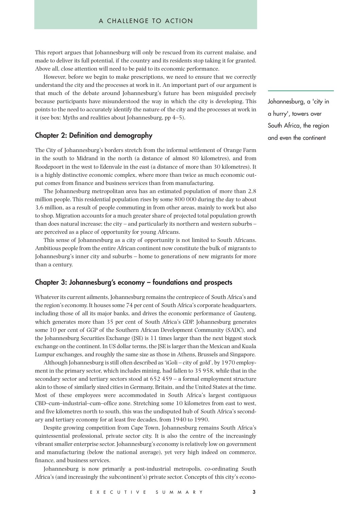This report argues that Johannesburg will only be rescued from its current malaise, and made to deliver its full potential, if the country and its residents stop taking it for granted. Above all, close attention will need to be paid to its economic performance.

However, before we begin to make prescriptions, we need to ensure that we correctly understand the city and the processes at work in it. An important part of our argument is that much of the debate around Johannesburg's future has been misguided precisely because participants have misunderstood the way in which the city is developing. This points to the need to accurately identify the nature of the city and the processes at work in it (see box: Myths and realities about Johannesburg, pp 4–5).

#### **Chapter 2: Definition and demography**

The City of Johannesburg's borders stretch from the informal settlement of Orange Farm in the south to Midrand in the north (a distance of almost 80 kilometres), and from Roodepoort in the west to Edenvale in the east (a distance of more than 30 kilometres). It is a highly distinctive economic complex, where more than twice as much economic output comes from finance and business services than from manufacturing.

The Johannesburg metropolitan area has an estimated population of more than 2,8 million people. This residential population rises by some 800 000 during the day to about 3,6 million, as a result of people commuting in from other areas, mainly to work but also to shop. Migration accounts for a much greater share of projected total population growth than does natural increase; the city – and particularly its northern and western suburbs – are perceived as a place of opportunity for young Africans.

This sense of Johannesburg as a city of opportunity is not limited to South Africans. Ambitious people from the entire African continent now constitute the bulk of migrants to Johannesburg's inner city and suburbs – home to generations of new migrants for more than a century.

## **Chapter 3: Johannesburg's economy – foundations and prospects**

Whatever its current ailments, Johannesburg remains the centrepiece of South Africa's and the region's economy. It houses some 74 per cent of South Africa's corporate headquarters, including those of all its major banks, and drives the economic performance of Gauteng, which generates more than 35 per cent of South Africa's GDP. Johannesburg generates some 10 per cent of GGP of the Southern African Development Community (SADC), and the Johannesburg Securities Exchange (JSE) is 11 times larger than the next biggest stock exchange on the continent. In US dollar terms, the JSE is larger than the Mexican and Kuala Lumpur exchanges, and roughly the same size as those in Athens, Brussels and Singapore.

Although Johannesburg is still often described as 'iGoli – city of gold', by 1970 employment in the primary sector, which includes mining, had fallen to 35 958, while that in the secondary sector and tertiary sectors stood at 652 459 – a formal employment structure akin to those of similarly sized cities in Germany, Britain, and the United States at the time. Most of these employees were accommodated in South Africa's largest contiguous CBD–cum–industrial–cum–office zone. Stretching some 10 kilometres from east to west, and five kilometres north to south, this was the undisputed hub of South Africa's secondary and tertiary economy for at least five decades, from 1940 to 1990.

Despite growing competition from Cape Town, Johannesburg remains South Africa's quintessential professional, private sector city. It is also the centre of the increasingly vibrant smaller enterprise sector. Johannesburg's economy is relatively low on government and manufacturing (below the national average), yet very high indeed on commerce, finance, and business services.

Johannesburg is now primarily a post-industrial metropolis, co-ordinating South Africa's (and increasingly the subcontinent's) private sector. Concepts of this city's econoJohannesburg, a 'city in a hurry', towers over South Africa, the region and even the continent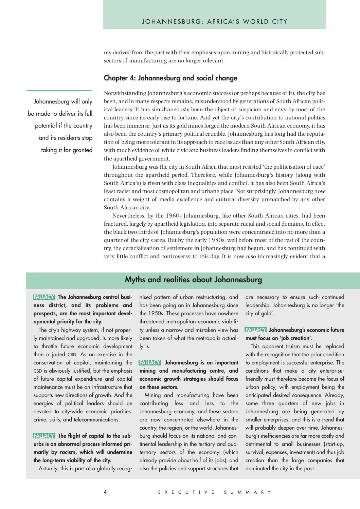my derived from the past with their emphases upon mining and historically protected subsectors of manufacturing are no longer relevant.

## **Chapter 4: Johannesburg and social change**

Notwithstanding Johannesburg's economic success (or perhaps because of it), the city has been, and in many respects remains, misunderstood by generations of South African political leaders. It has simultaneously been the object of suspicion and envy by most of the country since its early rise to fortune. And yet the city's contribution to national politics has been immense. Just as its gold mines forged the modern South African economy, it has also been the country's primary political crucible. Johannesburg has long had the reputation of being more tolerant in its approach to race issues than any other South African city, with much evidence of white civic and business leaders finding themselves in conflict with the apartheid government.

Johannesburg was the city in South Africa that most resisted 'the politicisation of race' throughout the apartheid period. Therefore, while Johannesburg's history (along with South Africa's) is riven with class inequalities and conflict, it has also been South Africa's least racist and most cosmopolitan and urbane place. Not surprisingly, Johannesburg now contains a weight of media excellence and cultural diversity unmatched by any other South African city.

Nevertheless, by the 1960s Johannesburg, like other South African cities, had been fractured, largely by apartheid legislation, into separate racial and social domains. In effect the black two thirds of Johannesburg's population were concentrated into no more than a quarter of the city's area. But by the early 1980s, well before most of the rest of the country, the deracialisation of settlement in Johannesburg had begun, and has continued with very little conflict and controversy to this day. It is now also increasingly evident that a

# **Myths and realities about Johannesburg**

## **FALLACY The Johannesburg central business district, and its problems and prospects, are the most important developmental priority for the city.**

The city's highway system, if not properly maintained and upgraded, is more likely to throttle future economic development than a jaded CBD. As an exercise in the conservation of capital, maintaining the CBD is obviously justified, but the emphasis of future capital expenditure and capital maintenance must be on infrastructure that supports new directions of growth. And the energies of political leaders should be devoted to city-wide economic priorities: crime, skills, and telecommunications.

**FALLACY** The flight of capital to the sub**urbs is an abnormal process informed primarily by racism, which will undermine the long-term viability of the city.**

Actually, this is part of a globally recog-

nised pattern of urban restructuring, and has been going on in Johannesburg since the 1950s. These processes have nowhere threatened metropolitan economic viability unless a narrow and mistaken view has been taken of what the metropolis actually is.

**FALLACY Johannesburg is an important mining and manufacturing centre, and economic growth strategies should focus on these sectors.**

Mining and manufacturing have been contributing less and less to the Johannesburg economy, and these sectors are now concentrated elsewhere in the country, the region, or the world. Johannesburg should focus on its national and continental leadership in the tertiary and quaternary sectors of the economy (which already provide about half of its jobs), and also the policies and support structures that

are necessary to ensure such continued leadership. Johannesburg is no longer 'the city of gold'.

#### **FALLACY Johannesburg's economic future must focus on 'job creation'.**

This apparent truism must be replaced with the recognition that the prior condition to employment is successful enterprise. The conditions that make a city enterprisefriendly must therefore become the focus of urban policy, with employment being the anticipated desired consequence. Already, some three quarters of new jobs in Johannesburg are being generated by smaller enterprises, and this is a trend that will probably deepen over time. Johannesburg's inefficiencies are far more costly and detrimental to small businesses (start-up, survival, expenses, investment) and thus job creation than the large companies that dominated the city in the past.

Johannesburg will only

potential if the country

and its residents stop

taking it for granted

be made to deliver its full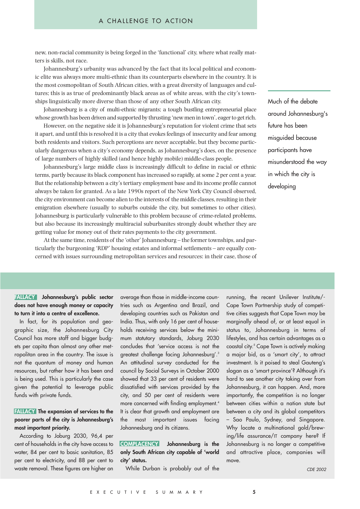new, non-racial community is being forged in the 'functional' city, where what really matters is skills, not race.

Johannesburg's urbanity was advanced by the fact that its local political and economic elite was always more multi-ethnic than its counterparts elsewhere in the country. It is the most cosmopolitan of South African cities, with a great diversity of languages and cultures; this is as true of predominantly black areas as of white areas, with the city's townships linguistically more diverse than those of any other South African city.

Johannesburg is a city of multi-ethnic migrants; a tough bustling entrepreneurial place whose growth has been driven and supported by thrusting 'new men in town', eager to get rich.

However, on the negative side it is Johannesburg's reputation for violent crime that sets it apart, and until this is resolved it is a city that evokes feelings of insecurity and fear among both residents and visitors. Such perceptions are never acceptable, but they become particularly dangerous when a city's economy depends, as Johannesburg's does, on the presence of large numbers of highly skilled (and hence highly mobile) middle-class people.

Johannesburg's large middle class is increasingly difficult to define in racial or ethnic terms, partly because its black component has increased so rapidly, at some 2 per cent a year. But the relationship between a city's tertiary employment base and its income profile cannot always be taken for granted. As a late 1990s report of the New York City Council observed, the city environment can become alien to the interests of the middle classes, resulting in their emigration elsewhere (usually to suburbs outside the city, but sometimes to other cities). Johannesburg is particularly vulnerable to this problem because of crime-related problems, but also because its increasingly multiracial suburbanites strongly doubt whether they are getting value for money out of their rates payments to the city government.

At the same time, residents of the 'other' Johannesburg – the former townships, and particularly the burgeoning 'RDP' housing estates and informal settlements – are equally concerned with issues surrounding metropolitan services and resources: in their case, those of Much of the debate around Johannesburg's future has been misguided because participants have misunderstood the way in which the city is developing

**FALLACY Johannesburg's public sector does not have enough money or capacity to turn it into a centre of excellence.**

In fact, for its population and geographic size, the Johannesburg City Council has more staff and bigger budgets per capita than almost any other metropolitan area in the country. The issue is not the quantum of money and human resources, but rather how it has been and is being used. This is particularly the case given the potential to leverage public funds with private funds.

## **FALLACY The expansion of services to the poorer parts of the city is Johannesburg's most important priority.**

According to Joburg 2030, 96,4 per cent of households in the city have access to water, 84 per cent to basic sanitation, 85 per cent to electricity, and 88 per cent to waste removal. These figures are higher on average than those in middle-income countries such as Argentina and Brazil, and developing countries such as Pakistan and India. Thus, with only 16 per cent of households receiving services below the minimum statutory standards, Joburg 2030 concludes that 'service access is not the greatest challenge facing Johannesburg'.3 An attitudinal survey conducted for the council by Social Surveys in October 2000 showed that 33 per cent of residents were dissatisfied with services provided by the city, and 50 per cent of residents were more concerned with finding employment.<sup>4</sup> It is clear that growth and employment are the most important issues facing Johannesburg and its citizens.

**COMPLACENCY Johannesburg is the only South African city capable of 'world city' status.**

While Durban is probably out of the

running, the recent Unilever Institute/- Cape Town Partnership study of competitive cities suggests that Cape Town may be marginally ahead of, or at least equal in status to, Johannesburg in terms of lifestyles, and has certain advantages as a coastal city. <sup>5</sup> Cape Town is actively making a major bid, as a 'smart city', to attract investment. Is it poised to steal Gauteng's slogan as a 'smart province'? Although it's hard to see another city taking over from Johannesburg, it can happen. And, more importantly, the competition is no longer between cities within a nation state but between a city and its global competitors – Sao Paulo, Sydney, and Singapore. Why locate a multinational gold/brewing/life assurance/IT company here? If Johannesburg is no longer a competitive and attractive place, companies will move.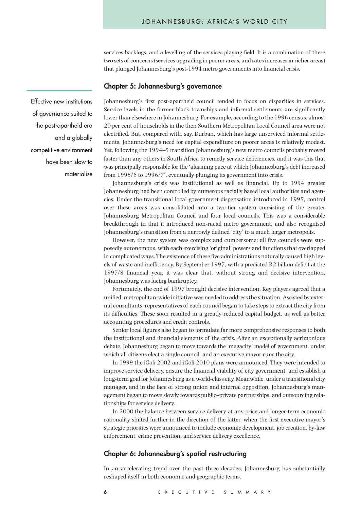services backlogs, and a levelling of the services playing field. It is a combination of these two sets of concerns (services upgrading in poorer areas, and rates increases in richer areas) that plunged Johannesburg's post-1994 metro governments into financial crisis.

#### **Chapter 5: Johannesburg's governance**

Effective new institutions of governance suited to the post-apartheid era and a globally competitive environment have been slow to materialise

Johannesburg's first post-apartheid council tended to focus on disparities in services. Service levels in the former black townships and informal settlements are significantly lower than elsewhere in Johannesburg. For example, according to the 1996 census, almost 20 per cent of households in the then Southern Metropolitan Local Council area were not electrified. But, compared with, say, Durban, which has large unserviced informal settlements, Johannesburg's need for capital expenditure on poorer areas is relatively modest. Yet, following the 1994–5 transition Johannesburg's new metro councils probably moved faster than any others in South Africa to remedy service deficiencies, and it was this that was principally responsible for the 'alarming pace at which Johannesburg's debt increased from 1995/6 to 1996/7', eventually plunging its government into crisis.

Johannesburg's crisis was institutional as well as financial. Up to 1994 greater Johannesburg had been controlled by numerous racially based local authorities and agencies. Under the transitional local government dispensation introduced in 1995, control over these areas was consolidated into a two-tier system consisting of the greater Johannesburg Metropolitan Council and four local councils. This was a considerable breakthrough in that it introduced non-racial metro government, and also recognised Johannesburg's transition from a narrowly defined 'city' to a much larger metropolis.

However, the new system was complex and cumbersome: all five councils were supposedly autonomous, with each exercising 'original' powers and functions that overlapped in complicated ways. The existence of these five administrations naturally caused high levels of waste and inefficiency. By September 1997, with a predicted R2 billion deficit at the 1997/8 financial year, it was clear that, without strong and decisive intervention, Johannesburg was facing bankruptcy.

Fortunately, the end of 1997 brought decisive intervention. Key players agreed that a unified, metropolitan-wide initiative was needed to address the situation. Assisted by external consultants, representatives of each council began to take steps to extract the city from its difficulties. These soon resulted in a greatly reduced capital budget, as well as better accounting procedures and credit controls.

Senior local figures also began to formulate far more comprehensive responses to both the institutional and financial elements of the crisis. After an exceptionally acrimonious debate, Johannesburg began to move towards the 'megacity' model of government, under which all citizens elect a single council, and an executive mayor runs the city.

In 1999 the iGoli 2002 and iGoli 2010 plans were announced. They were intended to improve service delivery, ensure the financial viability of city government, and establish a long-term goal for Johannesburg as a world-class city. Meanwhile, under a transitional city manager, and in the face of strong union and internal opposition, Johannesburg's management began to move slowly towards public–private partnerships, and outsourcing relationships for service delivery.

In 2000 the balance between service delivery at any price and longer-term economic rationality shifted further in the direction of the latter, when the first executive mayor's strategic priorities were announced to include economic development, job creation, by-law enforcement, crime prevention, and service delivery excellence.

## **Chapter 6: Johannesburg's spatial restructuring**

In an accelerating trend over the past three decades, Johannesburg has substantially reshaped itself in both economic and geographic terms.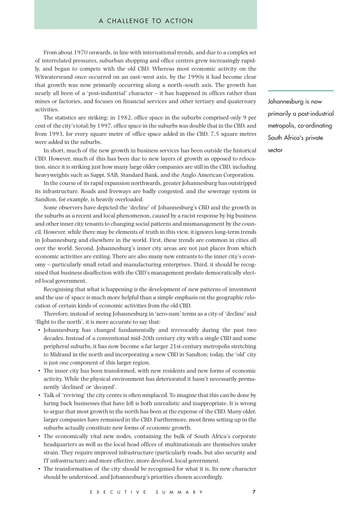#### A CHALLENGE TO ACTION

From about 1970 onwards, in line with international trends, and due to a complex set of interrelated pressures, suburban shopping and office centres grew increasingly rapidly, and began to compete with the old CBD. Whereas most economic activity on the Witwatersrand once occurred on an east–west axis, by the 1990s it had become clear that growth was now primarily occurring along a north–south axis. The growth has nearly all been of a 'post-industrial' character – it has happened in offices rather than mines or factories, and focuses on financial services and other tertiary and quaternary activities.

The statistics are striking: in 1982, office space in the suburbs comprised only 9 per cent of the city's total; by 1997, office space in the suburbs was double that in the CBD, and from 1993, for every square metre of office space added in the CBD, 7,5 square metres were added in the suburbs.

In short, much of the new growth in business services has been outside the historical CBD. However, much of this has been due to new layers of growth as opposed to relocation, since it is striking just how many large older companies are still in the CBD, including heavyweights such as Sappi, SAB, Standard Bank, and the Anglo American Corporation.

In the course of its rapid expansion northwards, greater Johannesburg has outstripped its infrastructure. Roads and freeways are badly congested, and the sewerage system in Sandton, for example, is heavily overloaded.

Some observers have depicted the 'decline' of Johannesburg's CBD and the growth in the suburbs as a recent and local phenomenon, caused by a racist response by big business and other inner city tenants to changing social patterns and mismanagement by the council. However, while there may be elements of truth in this view, it ignores long-term trends in Johannesburg and elsewhere in the world. First, these trends are common in cities all over the world. Second, Johannesburg's inner city areas are not just places from which economic activities are exiting. There are also many new entrants to the inner city's economy – particularly small retail and manufacturing enterprises. Third, it should be recognised that business disaffection with the CBD's management predate democratically elected local government.

Recognising that what is happening is the development of new patterns of investment and the use of space is much more helpful than a simple emphasis on the geographic relocation of certain kinds of economic activities from the old CBD.

Therefore, instead of seeing Johannesburg in 'zero-sum' terms as a city of 'decline' and 'flight to the north', it is more accurate to say that:

- Johannesburg has changed fundamentally and irrevocably during the past two decades. Instead of a conventional mid-20th century city with a single CBD and some peripheral suburbs, it has now become a far larger 21st-century metropolis stretching to Midrand in the north and incorporating a new CBD in Sandton; today, the 'old' city is just one component of this larger region.
- The inner city has been transformed, with new residents and new forms of economic activity. While the physical environment has deteriorated it hasn't necessarily permanently 'declined' or 'decayed'.
- Talk of 'reviving' the city centre is often misplaced. To imagine that this can be done by luring back businesses that have left is both unrealistic and inappropriate. It is wrong to argue that most growth in the north has been at the expense of the CBD. Many older, larger companies have remained in the CBD. Furthermore, most firms setting up in the suburbs actually constitute new forms of economic growth.
- The economically vital new nodes, containing the bulk of South Africa's corporate headquarters as well as the local head offices of multinationals are themselves under strain. They require improved infrastructure (particularly roads, but also security and IT infrastructure) and more effective, more devolved, local government.
- The transformation of the city should be recognised for what it is. Its new character should be understood, and Johannesburg's priorities chosen accordingly.

Johannesburg is now primarily a post-industrial metropolis, co-ordinating South Africa's private sector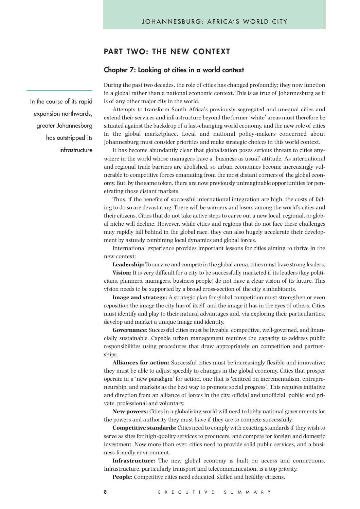# **PART TWO: THE NEW CONTEXT**

#### **Chapter 7: Looking at cities in a world context**

During the past two decades, the role of cities has changed profoundly; they now function in a global rather than a national economic context. This is as true of Johannesburg as it is of any other major city in the world.

Attempts to transform South Africa's previously segregated and unequal cities and extend their services and infrastructure beyond the former 'white' areas must therefore be situated against the backdrop of a fast-changing world economy, and the new role of cities in the global marketplace. Local and national policy-makers concerned about Johannesburg must consider priorities and make strategic choices in this world context.

It has become abundantly clear that globalisation poses serious threats to cities anywhere in the world whose managers have a 'business as usual' attitude. As international and regional trade barriers are abolished, so urban economies become increasingly vulnerable to competitive forces emanating from the most distant corners of the global economy. But, by the same token, there are now previously unimaginable opportunities for penetrating those distant markets.

Thus, if the benefits of successful international integration are high, the costs of failing to do so are devastating. There will be winners and losers among the world's cities and their citizens. Cities that do not take active steps to carve out a new local, regional, or global niche will decline. However, while cities and regions that do not face these challenges may rapidly fall behind in the global race, they can also hugely accelerate their development by astutely combining local dynamics and global forces.

International experience provides important lessons for cities aiming to thrive in the new context:

**Leadership:**To survive and compete in the global arena, cities must have strong leaders.

**Vision:** It is very difficult for a city to be successfully marketed if its leaders (key politicians, planners, managers, business people) do not have a clear vision of its future. This vision needs to be supported by a broad cross-section of the city's inhabitants.

**Image and strategy:** A strategic plan for global competition must strengthen or even reposition the image the city has of itself, and the image it has in the eyes of others. Cities must identify and play to their natural advantages and, via exploring their particularities, develop and market a unique image and identity.

**Governance:** Successful cities must be liveable, competitive, well-governed, and financially sustainable. Capable urban management requires the capacity to address public responsibilities using procedures that draw appropriately on competition and partnerships.

**Alliances for action:** Successful cities must be increasingly flexible and innovative; they must be able to adjust speedily to changes in the global economy. Cities that prosper operate in a 'new paradigm' for action, one that is 'centred on incrementalism, entrepreneurship, and markets as the best way to promote social progress'. This requires initiative and direction from an alliance of forces in the city, official and unofficial, public and private, professional and voluntary.

**New powers:** Cities in a globalising world will need to lobby national governments for the powers and authority they must have if they are to compete successfully.

**Competitive standards:** Cities need to comply with exacting standards if they wish to serve as sites for high-quality services to producers, and compete for foreign and domestic investment. Now more than ever, cities need to provide solid public services, and a business-friendly environment.

**Infrastructure:** The new global economy is built on access and connections. Infrastructure, particularly transport and telecommunication, is a top priority.

**People:** Competitive cities need educated, skilled and healthy citizens.

In the course of its rapid expansion northwards, greater Johannesburg has outstripped its infrastructure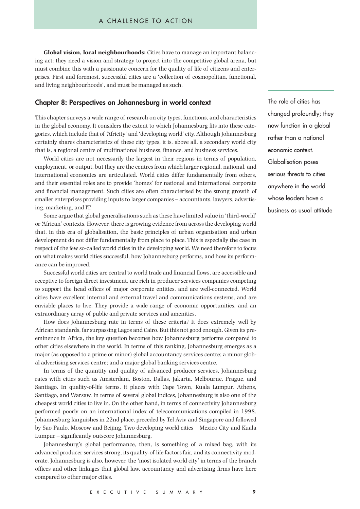**Global vision, local neighbourhoods:** Cities have to manage an important balancing act: they need a vision and strategy to project into the competitive global arena, but must combine this with a passionate concern for the quality of life of citizens and enterprises. First and foremost, successful cities are a 'collection of cosmopolitan, functional, and living neighbourhoods', and must be managed as such.

## **Chapter 8: Perspectives on Johannesburg in world context**

This chapter surveys a wide range of research on city types, functions, and characteristics in the global economy. It considers the extent to which Johannesburg fits into these categories, which include that of 'Africity' and 'developing world' city. Although Johannesburg certainly shares characteristics of these city types, it is, above all, a secondary world city that is, a regional centre of multinational business, finance, and business services.

World cities are not necessarily the largest in their regions in terms of population, employment, or output, but they are the centres from which larger regional, national, and international economies are articulated. World cities differ fundamentally from others, and their essential roles are to provide 'homes' for national and international corporate and financial management. Such cities are often characterised by the strong growth of smaller enterprises providing inputs to larger companies – accountants, lawyers, advertising, marketing, and IT.

Some argue that global generalisations such as these have limited value in 'third-world' or 'African' contexts. However, there is growing evidence from across the developing world that, in this era of globalisation, the basic principles of urban organisation and urban development do not differ fundamentally from place to place. This is especially the case in respect of the few so-called world cities in the developing world. We need therefore to focus on what makes world cities successful, how Johannesburg performs, and how its performance can be improved.

Successful world cities are central to world trade and financial flows, are accessible and receptive to foreign direct investment, are rich in producer services companies competing to support the head offices of major corporate entities, and are well-connected. World cities have excellent internal and external travel and communications systems, and are enviable places to live. They provide a wide range of economic opportunities, and an extraordinary array of public and private services and amenities.

How does Johannesburg rate in terms of these criteria? It does extremely well by African standards, far surpassing Lagos and Cairo. But this not good enough. Given its preeminence in Africa, the key question becomes how Johannesburg performs compared to other cities elsewhere in the world. In terms of this ranking, Johannesburg emerges as a major (as opposed to a prime or minor) global accountancy services centre; a minor global advertising services centre; and a major global banking services centre.

In terms of the quantity and quality of advanced producer services, Johannesburg rates with cities such as Amsterdam, Boston, Dallas, Jakarta, Melbourne, Prague, and Santiago. In quality-of-life terms, it places with Cape Town, Kuala Lumpur, Athens, Santiago, and Warsaw. In terms of several global indices, Johannesburg is also one of the cheapest world cities to live in. On the other hand, in terms of connectivity Johannesburg performed poorly on an international index of telecommunications compiled in 1998. Johannesburg languishes in 22nd place, preceded by Tel Aviv and Singapore and followed by Sao Paulo, Moscow and Beijing. Two developing world cities – Mexico City and Kuala Lumpur – significantly outscore Johannesburg.

Johannesburg's global performance, then, is something of a mixed bag, with its advanced producer services strong, its quality-of-life factors fair, and its connectivity moderate. Johannesburg is also, however, the 'most isolated world city' in terms of the branch offices and other linkages that global law, accountancy and advertising firms have here compared to other major cities.

The role of cities has changed profoundly; they now function in a global rather than a national economic context. Globalisation poses serious threats to cities anywhere in the world whose leaders have a business as usual attitude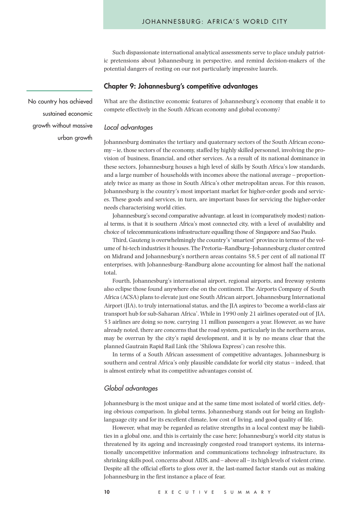Such dispassionate international analytical assessments serve to place unduly patriotic pretensions about Johannesburg in perspective, and remind decision-makers of the potential dangers of resting on our not particularly impressive laurels.

#### **Chapter 9: Johannesburg's competitive advantages**

What are the distinctive economic features of Johannesburg's economy that enable it to compete effectively in the South African economy and global economy?

## Local advantages

Johannesburg dominates the tertiary and quaternary sectors of the South African economy – ie, those sectors of the economy, staffed by highly skilled personnel, involving the provision of business, financial, and other services. As a result of its national dominance in these sectors, Johannesburg houses a high level of skills by South Africa's low standards, and a large number of households with incomes above the national average – proportionately twice as many as those in South Africa's other metropolitan areas. For this reason, Johannesburg is the country's most important market for higher-order goods and services. These goods and services, in turn, are important bases for servicing the higher-order needs characterising world cities.

Johannesburg's second comparative advantage, at least in (comparatively modest) national terms, is that it is southern Africa's most connected city, with a level of availability and choice of telecommunications infrastructure equalling those of Singapore and Sao Paulo.

Third, Gauteng is overwhelmingly the country's 'smartest' province in terms of the volume of hi-tech industries it houses. The Pretoria–Randburg–Johannesburg cluster centred on Midrand and Johannesburg's northern areas contains 58,5 per cent of all national IT enterprises, with Johannesburg–Randburg alone accounting for almost half the national total.

Fourth, Johannesburg's international airport, regional airports, and freeway systems also eclipse those found anywhere else on the continent. The Airports Company of South Africa (ACSA) plans to elevate just one South African airport, Johannesburg International Airport (JIA), to truly international status, and the JIA aspires to 'become a world-class air transport hub for sub-Saharan Africa'. While in 1990 only 21 airlines operated out of JIA, 53 airlines are doing so now, carrying 11 million passengers a year. However, as we have already noted, there are concerns that the road system, particularly in the northern areas, may be overrun by the city's rapid development, and it is by no means clear that the planned Gautrain Rapid Rail Link (the 'Shilowa Express') can resolve this.

In terms of a South African assessment of competitive advantages, Johannesburg is southern and central Africa's only plausible candidate for world city status – indeed, that is almost entirely what its competitive advantages consist of.

#### Global advantages

Johannesburg is the most unique and at the same time most isolated of world cities, defying obvious comparison. In global terms, Johannesburg stands out for being an Englishlanguage city and for its excellent climate, low cost of living, and good quality of life.

However, what may be regarded as relative strengths in a local context may be liabilities in a global one, and this is certainly the case here; Johannesburg's world city status is threatened by its ageing and increasingly congested road transport systems, its internationally uncompetitive information and communications technology infrastructure, its shrinking skills pool, concerns about AIDS, and – above all – its high levels of violent crime. Despite all the official efforts to gloss over it, the last-named factor stands out as making Johannesburg in the first instance a place of fear.

No country has achieved sustained economic growth without massive urban growth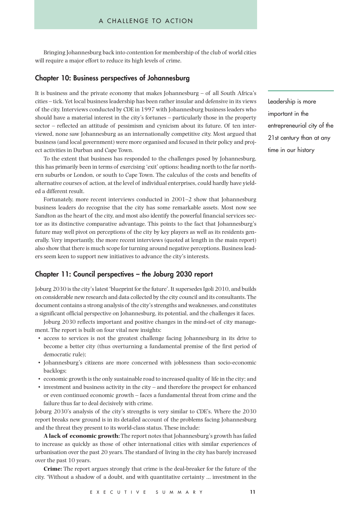Bringing Johannesburg back into contention for membership of the club of world cities will require a major effort to reduce its high levels of crime.

## **Chapter 10: Business perspectives of Johannesburg**

It is business and the private economy that makes Johannesburg – of all South Africa's cities – tick. Yet local business leadership has been rather insular and defensive in its views of the city. Interviews conducted by CDE in 1997 with Johannesburg business leaders who should have a material interest in the city's fortunes – particularly those in the property sector – reflected an attitude of pessimism and cynicism about its future. Of ten interviewed, none saw Johannesburg as an internationally competitive city. Most argued that business (and local government) were more organised and focused in their policy and project activities in Durban and Cape Town.

To the extent that business has responded to the challenges posed by Johannesburg, this has primarily been in terms of exercising 'exit' options: heading north to the far northern suburbs or London, or south to Cape Town. The calculus of the costs and benefits of alternative courses of action, at the level of individual enterprises, could hardly have yielded a different result.

Fortunately, more recent interviews conducted in 2001–2 show that Johannesburg business leaders do recognise that the city has some remarkable assets. Most now see Sandton as the heart of the city, and most also identify the powerful financial services sector as its distinctive comparative advantage. This points to the fact that Johannesburg's future may well pivot on perceptions of the city by key players as well as its residents generally. Very importantly, the more recent interviews (quoted at length in the main report) also show that there is much scope for turning around negative perceptions. Business leaders seem keen to support new initiatives to advance the city's interests.

# **Chapter 11: Council perspectives – the Joburg 2030 report**

Joburg 2030 is the city's latest 'blueprint for the future'. It supersedes Igoli 2010, and builds on considerable new research and data collected by the city council and its consultants. The document contains a strong analysis of the city's strengths and weaknesses, and constitutes a significant official perspective on Johannesburg, its potential, and the challenges it faces.

Joburg 2030 reflects important and positive changes in the mind-set of city management. The report is built on four vital new insights:

- access to services is not the greatest challenge facing Johannesburg in its drive to become a better city (thus overturning a fundamental premise of the first period of democratic rule);
- Johannesburg's citizens are more concerned with joblessness than socio-economic backlogs;
- economic growth is the only sustainable road to increased quality of life in the city; and
- investment and business activity in the city and therefore the prospect for enhanced or even continued economic growth – faces a fundamental threat from crime and the failure thus far to deal decisively with crime.

Joburg 2030's analysis of the city's strengths is very similar to CDE's. Where the 2030 report breaks new ground is in its detailed account of the problems facing Johannesburg and the threat they present to its world-class status. These include:

**A lack of economic growth:** The report notes that Johannesburg's growth has failed to increase as quickly as those of other international cities with similar experiences of urbanisation over the past 20 years. The standard of living in the city has barely increased over the past 10 years.

**Crime:** The report argues strongly that crime is the deal-breaker for the future of the city. 'Without a shadow of a doubt, and with quantitative certainty … investment in the Leadership is more important in the entrepreneurial city of the 21st century than at any time in our history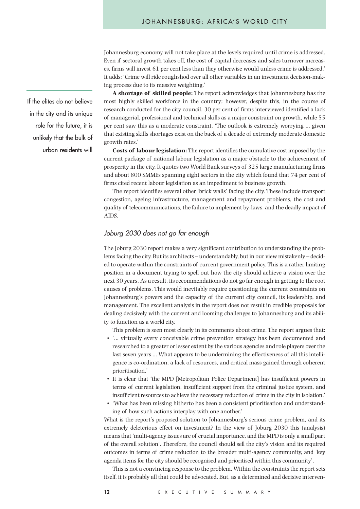Johannesburg economy will not take place at the levels required until crime is addressed. Even if sectoral growth takes off, the cost of capital decreases and sales turnover increases, firms will invest 61 per cent less than they otherwise would unless crime is addressed.' It adds: 'Crime will ride roughshod over all other variables in an investment decision-making process due to its massive weighting.'

**A shortage of skilled people:** The report acknowledges that Johannesburg has the most highly skilled workforce in the country; however, despite this, in the course of research conducted for the city council, 30 per cent of firms interviewed identified a lack of managerial, professional and technical skills as a major constraint on growth, while 55 per cent saw this as a moderate constraint. 'The outlook is extremely worrying … given that existing skills shortages exist on the back of a decade of extremely moderate domestic growth rates.'

**Costs of labour legislation:** The report identifies the cumulative cost imposed by the current package of national labour legislation as a major obstacle to the achievement of prosperity in the city. It quotes two World Bank surveys of 325 large manufacturing firms and about 800 SMMEs spanning eight sectors in the city which found that 74 per cent of firms cited recent labour legislation as an impediment to business growth.

The report identifies several other 'brick walls' facing the city. These include transport congestion, ageing infrastructure, management and repayment problems, the cost and quality of telecommunications, the failure to implement by-laws, and the deadly impact of AIDS.

## Joburg 2030 does not go far enough

The Joburg 2030 report makes a very significant contribution to understanding the problems facing the city. But its architects – understandably, but in our view mistakenly – decided to operate within the constraints of current government policy. This is a rather limiting position in a document trying to spell out how the city should achieve a vision over the next 30 years. As a result, its recommendations do not go far enough in getting to the root causes of problems. This would inevitably require questioning the current constraints on Johannesburg's powers and the capacity of the current city council, its leadership, and management. The excellent analysis in the report does not result in credible proposals for dealing decisively with the current and looming challenges to Johannesburg and its ability to function as a world city.

This problem is seen most clearly in its comments about crime. The report argues that:

- '… virtually every conceivable crime prevention strategy has been documented and researched to a greater or lesser extent by the various agencies and role players over the last seven years … What appears to be undermining the effectiveness of all this intelligence is co-ordination, a lack of resources, and critical mass gained through coherent prioritisation.'
- It is clear that 'the MPD [Metropolitan Police Department] has insufficient powers in terms of current legislation, insufficient support from the criminal justice system, and insufficient resources to achieve the necessary reduction of crime in the city in isolation.'
- 'What has been missing hitherto has been a consistent prioritisation and understanding of how such actions interplay with one another.'

What is the report's proposed solution to Johannesburg's serious crime problem, and its extremely deleterious effect on investment? In the view of Joburg 2030 this (analysis) means that 'multi-agency issues are of crucial importance, and the MPD is only a small part of the overall solution'. Therefore, the council should sell the city's vision and its required outcomes in terms of crime reduction to the broader multi-agency community, and 'key agenda items for the city should be recognised and prioritised within this community'.

This is not a convincing response to the problem. Within the constraints the report sets itself, it is probably all that could be advocated. But, as a determined and decisive interven-

If the elites do not believe in the city and its unique role for the future, it is unlikely that the bulk of urban residents will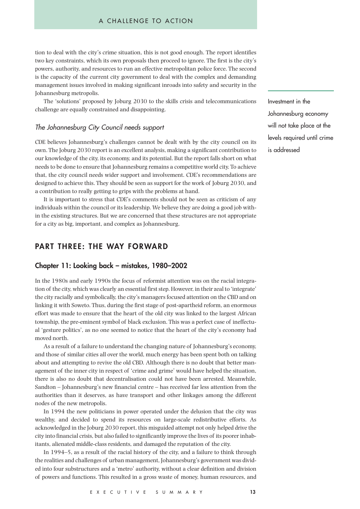tion to deal with the city's crime situation, this is not good enough. The report identifies two key constraints, which its own proposals then proceed to ignore. The first is the city's powers, authority, and resources to run an effective metropolitan police force. The second is the capacity of the current city government to deal with the complex and demanding management issues involved in making significant inroads into safety and security in the Johannesburg metropolis.

The 'solutions' proposed by Joburg 2030 to the skills crisis and telecommunications challenge are equally constrained and disappointing.

### The Johannesburg City Council needs support

CDE believes Johannesburg's challenges cannot be dealt with by the city council on its own. The Joburg 2030 report is an excellent analysis, making a significant contribution to our knowledge of the city, its economy, and its potential. But the report falls short on what needs to be done to ensure that Johannesburg remains a competitive world city. To achieve that, the city council needs wider support and involvement. CDE's recommendations are designed to achieve this. They should be seen as support for the work of Joburg 2030, and a contribution to really getting to grips with the problems at hand.

It is important to stress that CDE's comments should not be seen as criticism of any individuals within the council or its leadership. We believe they are doing a good job within the existing structures. But we are concerned that these structures are not appropriate for a city as big, important, and complex as Johannesburg.

# **PART THREE: THE WAY FORWARD**

#### **Chapter 11: Looking back – mistakes, 1980–2002**

In the 1980s and early 1990s the focus of reformist attention was on the racial integration of the city, which was clearly an essential first step. However, in their zeal to 'integrate' the city racially and symbolically, the city's managers focused attention on the CBD and on linking it with Soweto. Thus, during the first stage of post-apartheid reform, an enormous effort was made to ensure that the heart of the old city was linked to the largest African township, the pre-eminent symbol of black exclusion. This was a perfect case of ineffectual 'gesture politics', as no one seemed to notice that the heart of the city's economy had moved north.

As a result of a failure to understand the changing nature of Johannesburg's economy, and those of similar cities all over the world, much energy has been spent both on talking about and attempting to revive the old CBD. Although there is no doubt that better management of the inner city in respect of 'crime and grime' would have helped the situation, there is also no doubt that decentralisation could not have been arrested. Meanwhile, Sandton – Johannesburg's new financial centre – has received far less attention from the authorities than it deserves, as have transport and other linkages among the different nodes of the new metropolis.

In 1994 the new politicians in power operated under the delusion that the city was wealthy, and decided to spend its resources on large-scale redistributive efforts. As acknowledged in the Joburg 2030 report, this misguided attempt not only helped drive the city into financial crisis, but also failed to significantly improve the lives of its poorer inhabitants, alienated middle-class residents, and damaged the reputation of the city.

In 1994–5, as a result of the racial history of the city, and a failure to think through the realities and challenges of urban management, Johannesburg's government was divided into four substructures and a 'metro' authority, without a clear definition and division of powers and functions. This resulted in a gross waste of money, human resources, and Investment in the Johannesburg economy will not take place at the levels required until crime is addressed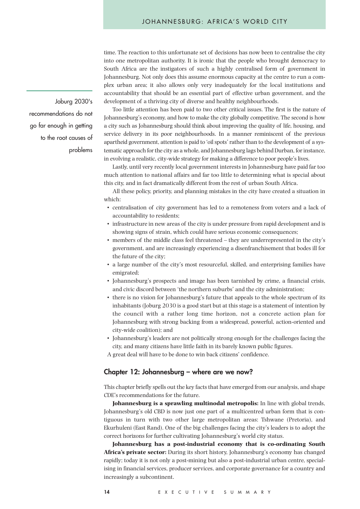time. The reaction to this unfortunate set of decisions has now been to centralise the city into one metropolitan authority. It is ironic that the people who brought democracy to South Africa are the instigators of such a highly centralised form of government in Johannesburg. Not only does this assume enormous capacity at the centre to run a complex urban area; it also allows only very inadequately for the local institutions and accountability that should be an essential part of effective urban government, and the development of a thriving city of diverse and healthy neighbourhoods.

Too little attention has been paid to two other critical issues. The first is the nature of Johannesburg's economy, and how to make the city globally competitive. The second is how a city such as Johannesburg should think about improving the quality of life, housing, and service delivery in its poor neighbourhoods. In a manner reminiscent of the previous apartheid government, attention is paid to 'oil spots' rather than to the development of a systematic approach for the city as a whole, and Johannesburg lags behind Durban, for instance, in evolving a realistic, city-wide strategy for making a difference to poor people's lives.

Lastly, until very recently local government interests in Johannesburg have paid far too much attention to national affairs and far too little to determining what is special about this city, and in fact dramatically different from the rest of urban South Africa.

All these policy, priority, and planning mistakes in the city have created a situation in which:

- centralisation of city government has led to a remoteness from voters and a lack of accountability to residents;
- infrastructure in new areas of the city is under pressure from rapid development and is showing signs of strain, which could have serious economic consequences;
- members of the middle class feel threatened they are underrepresented in the city's government, and are increasingly experiencing a disenfranchisement that bodes ill for the future of the city;
- a large number of the city's most resourceful, skilled, and enterprising families have emigrated;
- Johannesburg's prospects and image has been tarnished by crime, a financial crisis, and civic discord between 'the northern suburbs' and the city administration;
- there is no vision for Johannesburg's future that appeals to the whole spectrum of its inhabitants (Joburg 2030 is a good start but at this stage is a statement of intention by the council with a rather long time horizon, not a concrete action plan for Johannesburg with strong backing from a widespread, powerful, action-oriented and city-wide coalition); and
- Johannesburg's leaders are not politically strong enough for the challenges facing the city, and many citizens have little faith in its barely known public figures.
- A great deal will have to be done to win back citizens' confidence.

#### **Chapter 12: Johannesburg – where are we now?**

This chapter briefly spells out the key facts that have emerged from our analysis, and shape CDE's recommendations for the future.

**Johannesburg is a sprawling multinodal metropolis:** In line with global trends, Johannesburg's old CBD is now just one part of a multicentred urban form that is contiguous in turn with two other large metropolitan areas: Tshwane (Pretoria), and Ekurhuleni (East Rand). One of the big challenges facing the city's leaders is to adopt the correct horizons for further cultivating Johannesburg's world city status.

**Johannesburg has a post-industrial economy that is co-ordinating South Africa's private sector:** During its short history, Johannesburg's economy has changed rapidly; today it is not only a post-mining but also a post-industrial urban centre, specialising in financial services, producer services, and corporate governance for a country and increasingly a subcontinent.

Joburg 2030's recommendations do not go far enough in getting to the root causes of problems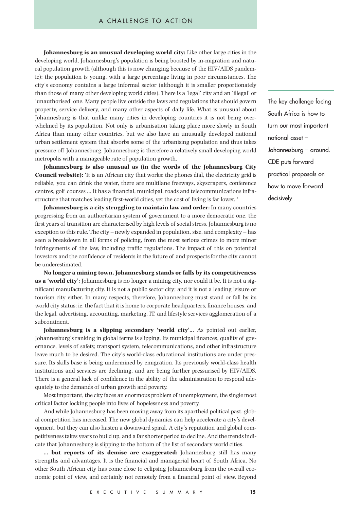**Johannesburg is an unusual developing world city:** Like other large cities in the developing world, Johannesburg's population is being boosted by in-migration and natural population growth (although this is now changing because of the HIV/AIDS pandemic); the population is young, with a large percentage living in poor circumstances. The city's economy contains a large informal sector (although it is smaller proportionately than those of many other developing world cities). There is a 'legal' city and an 'illegal' or 'unauthorised' one. Many people live outside the laws and regulations that should govern property, service delivery, and many other aspects of daily life. What is unusual about Johannesburg is that unlike many cities in developing countries it is not being overwhelmed by its population. Not only is urbanisation taking place more slowly in South Africa than many other countries, but we also have an unusually developed national urban settlement system that absorbs some of the urbanising population and thus takes pressure off Johannesburg. Johannesburg is therefore a relatively small developing world metropolis with a manageable rate of population growth.

**Johannesburg is also unusual as (in the words of the Johannesburg City Council website):** 'It is an African city that works: the phones dial, the electricity grid is reliable, you can drink the water, there are multilane freeways, skyscrapers, conference centres, golf courses … It has a financial, municipal, roads and telecommunications infrastructure that matches leading first-world cities, yet the cost of living is far lower. '

**Johannesburg is a city struggling to maintain law and order:** In many countries progressing from an authoritarian system of government to a more democratic one, the first years of transition are characterised by high levels of social stress. Johannesburg is no exception to this rule. The city – newly expanded in population, size, and complexity – has seen a breakdown in all forms of policing, from the most serious crimes to more minor infringements of the law, including traffic regulations. The impact of this on potential investors and the confidence of residents in the future of and prospects for the city cannot be underestimated.

**No longer a mining town, Johannesburg stands or falls by its competitiveness as a 'world city':** Johannesburg is no longer a mining city, nor could it be. It is not a significant manufacturing city. It is not a public sector city; and it is not a leading leisure or tourism city either. In many respects, therefore, Johannesburg must stand or fall by its world city status: ie, the fact that it is home to corporate headquarters, finance houses, and the legal, advertising, accounting, marketing, IT, and lifestyle services agglomeration of a subcontinent.

**Johannesburg is a slipping secondary 'world city'…** As pointed out earlier, Johannesburg's ranking in global terms is slipping. Its municipal finances, quality of governance, levels of safety, transport system, telecommunications, and other infrastructure leave much to be desired. The city's world-class educational institutions are under pressure. Its skills base is being undermined by emigration. Its previously world-class health institutions and services are declining, and are being further pressurised by HIV/AIDS. There is a general lack of confidence in the ability of the administration to respond adequately to the demands of urban growth and poverty.

Most important, the city faces an enormous problem of unemployment, the single most critical factor locking people into lives of hopelessness and poverty.

And while Johannesburg has been moving away from its apartheid political past, global competition has increased. The new global dynamics can help accelerate a city's development, but they can also hasten a downward spiral. A city's reputation and global competitiveness takes years to build up, and a far shorter period to decline. And the trends indicate that Johannesburg is slipping to the bottom of the list of secondary world cities.

**… but reports of its demise are exaggerated:** Johannesburg still has many strengths and advantages. It is the financial and managerial heart of South Africa. No other South African city has come close to eclipsing Johannesburg from the overall economic point of view, and certainly not remotely from a financial point of view. Beyond The key challenge facing South Africa is how to turn our most important national asset – Johannesburg – around. CDE puts forward practical proposals on how to move forward decisively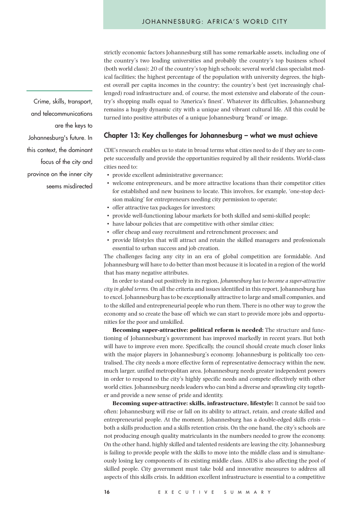strictly economic factors Johannesburg still has some remarkable assets, including one of the country's two leading universities and probably the country's top business school (both world class); 20 of the country's top high schools; several world class specialist medical facilities; the highest percentage of the population with university degrees, the highest overall per capita incomes in the country; the country's best (yet increasingly challenged) road infrastructure and, of course, the most extensive and elaborate of the country's shopping malls equal to 'America's finest'. Whatever its difficulties, Johannesburg remains a hugely dynamic city with a unique and vibrant cultural life. All this could be turned into positive attributes of a unique Johannesburg 'brand' or image.

## **Chapter 13: Key challenges for Johannesburg – what we must achieve**

CDE's research enables us to state in broad terms what cities need to do if they are to compete successfully and provide the opportunities required by all their residents. World-class cities need to:

- provide excellent administrative governance;
- welcome entrepreneurs, and be more attractive locations than their competitor cities for established and new business to locate. This involves, for example, 'one-stop decision making' for entrepreneurs needing city permission to operate;
- offer attractive tax packages for investors;
- provide well-functioning labour markets for both skilled and semi-skilled people;
- have labour policies that are competitive with other similar cities;
- offer cheap and easy recruitment and retrenchment processes; and
- provide lifestyles that will attract and retain the skilled managers and professionals essential to urban success and job creation.

The challenges facing any city in an era of global competition are formidable. And Johannesburg will have to do better than most because it is located in a region of the world that has many negative attributes.

In order to stand out positively in its region, *Johannesburg has to become a super-attractive city in global terms.* On all the criteria and issues identified in this report, Johannesburg has to excel. Johannesburg has to be exceptionally attractive to large and small companies, and to the skilled and entrepreneurial people who run them. There is no other way to grow the economy and so create the base off which we can start to provide more jobs and opportunities for the poor and unskilled.

**Becoming super-attractive: political reform is needed:** The structure and functioning of Johannesburg's government has improved markedly in recent years. But both will have to improve even more. Specifically, the council should create much closer links with the major players in Johannesburg's economy. Johannesburg is politically too centralised. The city needs a more effective form of representative democracy within the new, much larger, unified metropolitan area. Johannesburg needs greater independent powers in order to respond to the city's highly specific needs and compete effectively with other world cities. Johannesburg needs leaders who can bind a diverse and sprawling city together and provide a new sense of pride and identity.

**Becoming super-attractive: skills, infrastructure, lifestyle:** It cannot be said too often: Johannesburg will rise or fall on its ability to attract, retain, and create skilled and entrepreneurial people. At the moment, Johannesburg has a double-edged skills crisis – both a skills production and a skills retention crisis. On the one hand, the city's schools are not producing enough quality matriculants in the numbers needed to grow the economy. On the other hand, highly skilled and talented residents are leaving the city. Johannesburg is failing to provide people with the skills to move into the middle class and is simultaneously losing key components of its existing middle class. AIDS is also affecting the pool of skilled people. City government must take bold and innovative measures to address all aspects of this skills crisis. In addition excellent infrastructure is essential to a competitive

Crime, skills, transport, and telecommunications are the keys to Johannesburg's future. In this context, the dominant focus of the city and province on the inner city seems misdirected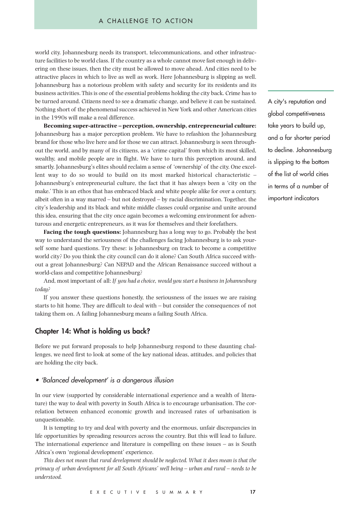world city. Johannesburg needs its transport, telecommunications, and other infrastructure facilities to be world class. If the country as a whole cannot move fast enough in delivering on these issues, then the city must be allowed to move ahead. And cities need to be attractive places in which to live as well as work. Here Johannesburg is slipping as well. Johannesburg has a notorious problem with safety and security for its residents and its business activities. This is one of the essential problems holding the city back. Crime has to be turned around. Citizens need to see a dramatic change, and believe it can be sustained. Nothing short of the phenomenal success achieved in New York and other American cities in the 1990s will make a real difference.

**Becoming super-attractive – perception, ownership, entrepreneurial culture:** Johannesburg has a major perception problem. We have to refashion the Johannesburg brand for those who live here and for those we can attract. Johannesburg is seen throughout the world, and by many of its citizens, as a 'crime capital' from which its most skilled, wealthy, and mobile people are in flight. We have to turn this perception around, and smartly. Johannesburg's elites should reclaim a sense of 'ownership' of the city. One excellent way to do so would to build on its most marked historical characteristic – Johannesburg's entrepreneurial culture, the fact that it has always been a 'city on the make.' This is an ethos that has embraced black and white people alike for over a century, albeit often in a way marred – but not destroyed – by racial discrimination. Together, the city's leadership and its black and white middle classes could organise and unite around this idea, ensuring that the city once again becomes a welcoming environment for adventurous and energetic entrepreneurs, as it was for themselves and their forefathers.

**Facing the tough questions:** Johannesburg has a long way to go. Probably the best way to understand the seriousness of the challenges facing Johannesburg is to ask yourself some hard questions. Try these: is Johannesburg on track to become a competitive world city? Do you think the city council can do it alone? Can South Africa succeed without a great Johannesburg? Can NEPAD and the African Renaissance succeed without a world-class and competitive Johannesburg?

And, most important of all: *If you had a choice, would you start a business in Johannesburg today?*

If you answer these questions honestly, the seriousness of the issues we are raising starts to hit home. They are difficult to deal with – but consider the consequences of not taking them on. A failing Johannesburg means a failing South Africa.

#### **Chapter 14: What is holding us back?**

Before we put forward proposals to help Johannesburg respond to these daunting challenges, we need first to look at some of the key national ideas, attitudes, and policies that are holding the city back.

#### • 'Balanced development' is a dangerous illusion

In our view (supported by considerable international experience and a wealth of literature) the way to deal with poverty in South Africa is to encourage urbanisation. The correlation between enhanced economic growth and increased rates of urbanisation is unquestionable.

It is tempting to try and deal with poverty and the enormous, unfair discrepancies in life opportunities by spreading resources across the country. But this will lead to failure. The international experience and literature is compelling on these issues – as is South Africa's own 'regional development' experience.

*This does not mean that rural development should be neglected. What it does mean is that the primacy of urban development for all South Africans' well being – urban and rural – needs to be understood.*

A city's reputation and global competitiveness take years to build up, and a far shorter period to decline. Johannesburg is slipping to the bottom of the list of world cities in terms of a number of important indicators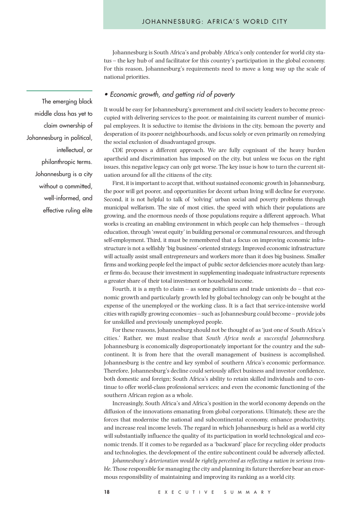Johannesburg is South Africa's and probably Africa's only contender for world city status – the key hub of and facilitator for this country's participation in the global economy. For this reason, Johannesburg's requirements need to move a long way up the scale of national priorities.

#### • Economic growth, and getting rid of poverty

It would be easy for Johannesburg's government and civil society leaders to become preoccupied with delivering services to the poor, or maintaining its current number of municipal employees. It is seductive to itemise the divisions in the city, bemoan the poverty and desperation of its poorer neighbourhoods, and focus solely or even primarily on remedying the social exclusion of disadvantaged groups.

CDE proposes a different approach. We are fully cognisant of the heavy burden apartheid and discrimination has imposed on the city, but unless we focus on the right issues, this negative legacy can only get worse. The key issue is how to turn the current situation around for all the citizens of the city.

First, it is important to accept that, without sustained economic growth in Johannesburg, the poor will get poorer, and opportunities for decent urban living will decline for everyone. Second, it is not helpful to talk of 'solving' urban social and poverty problems through municipal welfarism. The size of most cities, the speed with which their populations are growing, and the enormous needs of those populations require a different approach. What works is creating an enabling environment in which people can help themselves – through education, through 'sweat equity' in building personal or communal resources, and through self-employment. Third, it must be remembered that a focus on improving economic infrastructure is not a selfishly 'big business'-oriented strategy. Improved economic infrastructure will actually assist small entrepreneurs and workers more than it does big business. Smaller firms and working people feel the impact of public sector deficiencies more acutely than larger firms do, because their investment in supplementing inadequate infrastructure represents a greater share of their total investment or household income.

Fourth, it is a myth to claim – as some politicians and trade unionists do – that economic growth and particularly growth led by global technology can only be bought at the expense of the unemployed or the working class. It is a fact that service-intensive world cities with rapidly growing economies – such as Johannesburg could become – provide jobs for unskilled and previously unemployed people.

For these reasons, Johannesburg should not be thought of as 'just one of South Africa's cities.' Rather, we must realise that *South Africa needs a successful Johannesburg.* Johannesburg is economically disproportionately important for the country and the subcontinent. It is from here that the overall management of business is accomplished. Johannesburg is the centre and key symbol of southern Africa's economic performance. Therefore, Johannesburg's decline could seriously affect business and investor confidence, both domestic and foreign; South Africa's ability to retain skilled individuals and to continue to offer world-class professional services; and even the economic functioning of the southern African region as a whole.

Increasingly, South Africa's and Africa's position in the world economy depends on the diffusion of the innovations emanating from global corporations. Ultimately, these are the forces that modernise the national and subcontinental economy, enhance productivity, and increase real income levels. The regard in which Johannesburg is held as a world city will substantially influence the quality of its participation in world technological and economic trends. If it comes to be regarded as a 'backward' place for recycling older products and technologies, the development of the entire subcontinent could be adversely affected.

*Johannesburg's deterioration would be rightly perceived as reflecting a nation in serious trouble.*Those responsible for managing the city and planning its future therefore bear an enormous responsibility of maintaining and improving its ranking as a world city.

The emerging black middle class has yet to claim ownership of Johannesburg in political, intellectual, or philanthropic terms. Johannesburg is a city without a committed, well-informed, and effective ruling elite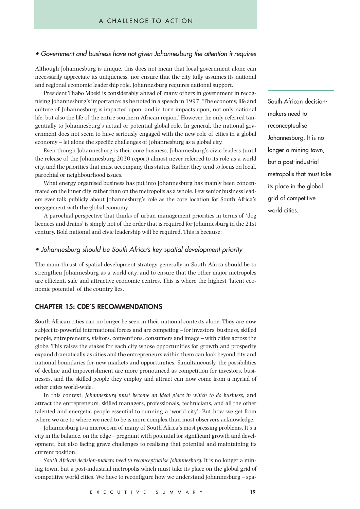#### • Government and business have not given Johannesburg the attention it requires

Although Johannesburg is unique, this does not mean that local government alone can necessarily appreciate its uniqueness, nor ensure that the city fully assumes its national and regional economic leadership role. Johannesburg requires national support.

President Thabo Mbeki is considerably ahead of many others in government in recognising Johannesburg's importance: as he noted in a speech in 1997, 'The economy, life and culture of Johannesburg is impacted upon, and in turn impacts upon, not only national life, but also the life of the entire southern African region.' However, he only referred tangentially to Johannesburg's actual or potential global role. In general, the national government does not seem to have seriously engaged with the new role of cities in a global economy – let alone the specific challenges of Johannesburg as a global city.

Even though Johannesburg is their core business, Johannesburg's civic leaders (until the release of the Johannesburg 2030 report) almost never referred to its role as a world city, and the priorities that must accompany this status. Rather, they tend to focus on local, parochial or neighbourhood issues.

What energy organised business has put into Johannesburg has mainly been concentrated on the inner city rather than on the metropolis as a whole. Few senior business leaders ever talk publicly about Johannesburg's role as the core location for South Africa's engagement with the global economy.

A parochial perspective that thinks of urban management priorities in terms of 'dog licences and drains' is simply not of the order that is required for Johannesburg in the 21st century. Bold national and civic leadership will be required. This is because:

## • Johannesburg should be South Africa's key spatial development priority

The main thrust of spatial development strategy generally in South Africa should be to strengthen Johannesburg as a world city, and to ensure that the other major metropoles are efficient, safe and attractive economic centres. This is where the highest 'latent economic potential' of the country lies.

## **CHAPTER 15: CDE'S RECOMMENDATIONS**

South African cities can no longer be seen in their national contexts alone. They are now subject to powerful international forces and are competing – for investors, business, skilled people, entrepreneurs, visitors, conventions, consumers and image – with cities across the globe. This raises the stakes for each city whose opportunities for growth and prosperity expand dramatically as cities and the entrepreneurs within them can look beyond city and national boundaries for new markets and opportunities. Simultaneously, the possibilities of decline and impoverishment are more pronounced as competition for investors, businesses, and the skilled people they employ and attract can now come from a myriad of other cities world-wide.

In this context, *Johannesburg must become an ideal place in which to do business,* and attract the entrepreneurs, skilled managers, professionals, technicians, and all the other talented and energetic people essential to running a 'world city'. But how we get from where we are to where we need to be is more complex than most observers acknowledge.

Johannesburg is a microcosm of many of South Africa's most pressing problems. It's a city in the balance, on the edge – pregnant with potential for significant growth and development, but also facing grave challenges to realising that potential and maintaining its current position.

*South African decision-makers need to reconceptualise Johannesburg.* It is no longer a mining town, but a post-industrial metropolis which must take its place on the global grid of competitive world cities. We have to reconfigure how we understand Johannesburg – spaSouth African decisionmakers need to reconceptualise Johannesburg. It is no longer a mining town, but a post-industrial metropolis that must take its place in the global grid of competitive world cities.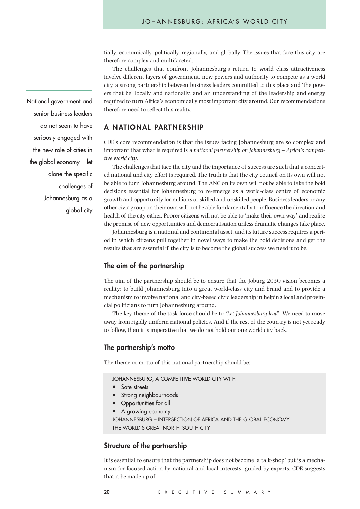tially, economically, politically, regionally, and globally. The issues that face this city are therefore complex and multifaceted.

The challenges that confront Johannesburg's return to world class attractiveness involve different layers of government, new powers and authority to compete as a world city, a strong partnership between business leaders committed to this place and 'the powers that be' locally and nationally, and an understanding of the leadership and energy required to turn Africa's economically most important city around. Our recommendations therefore need to reflect this reality.

### **A NATIONAL PARTNERSHIP**

CDE's core recommendation is that the issues facing Johannesburg are so complex and important that what is required is a *national partnership on Johannesburg – Africa's competitive world city.*

The challenges that face the city and the importance of success are such that a concerted national and city effort is required. The truth is that the city council on its own will not be able to turn Johannesburg around. The ANC on its own will not be able to take the bold decisions essential for Johannesburg to re-emerge as a world-class centre of economic growth and opportunity for millions of skilled and unskilled people. Business leaders or any other civic group on their own will not be able fundamentally to influence the direction and health of the city either. Poorer citizens will not be able to 'make their own way' and realise the promise of new opportunities and democratisation unless dramatic changes take place.

Johannesburg is a national and continental asset, and its future success requires a period in which citizens pull together in novel ways to make the bold decisions and get the results that are essential if the city is to become the global success we need it to be.

### **The aim of the partnership**

The aim of the partnership should be to ensure that the Joburg 2030 vision becomes a reality; to build Johannesburg into a great world-class city and brand and to provide a mechanism to involve national and city-based civic leadership in helping local and provincial politicians to turn Johannesburg around.

The key theme of the task force should be to *'Let Johannesburg lead'.* We need to move away from rigidly uniform national policies. And if the rest of the country is not yet ready to follow, then it is imperative that we do not hold our one world city back.

## **The partnership's motto**

The theme or motto of this national partnership should be:

JOHANNESBURG, A COMPETITIVE WORLD CITY WITH

- Safe streets
- Strong neighbourhoods
- Opportunities for all
- A growing economy
- JOHANNESBURG INTERSECTION OF AFRICA AND THE GLOBAL ECONOMY THE WORLD'S GREAT NORTH–SOUTH CITY

#### **Structure of the partnership**

It is essential to ensure that the partnership does not become 'a talk-shop' but is a mechanism for focused action by national and local interests, guided by experts. CDE suggests that it be made up of:

National government and senior business leaders do not seem to have seriously engaged with the new role of cities in the global economy – let alone the specific challenges of Johannesburg as a global city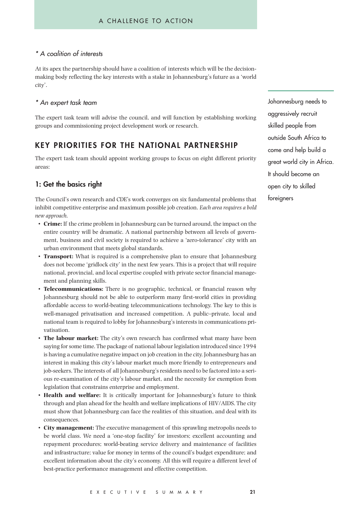# \* A coalition of interests

At its apex the partnership should have a coalition of interests which will be the decisionmaking body reflecting the key interests with a stake in Johannesburg's future as a 'world city'.

## \* An expert task team

The expert task team will advise the council, and will function by establishing working groups and commissioning project development work or research.

# **KEY PRIORITIES FOR THE NATIONAL PARTNERSHIP**

The expert task team should appoint working groups to focus on eight different priority areas:

## **1: Get the basics right**

The Council's own research and CDE's work converges on six fundamental problems that inhibit competitive enterprise and maximum possible job creation. *Each area requires a bold new approach.* 

- **Crime:** If the crime problem in Johannesburg can be turned around, the impact on the entire country will be dramatic. A national partnership between all levels of government, business and civil society is required to achieve a 'zero-tolerance' city with an urban environment that meets global standards.
- **Transport:** What is required is a comprehensive plan to ensure that Johannesburg does not become 'gridlock city' in the next few years. This is a project that will require national, provincial, and local expertise coupled with private sector financial management and planning skills.
- **Telecommunications:** There is no geographic, technical, or financial reason why Johannesburg should not be able to outperform many first-world cities in providing affordable access to world-beating telecommunications technology. The key to this is well-managed privatisation and increased competition. A public–private, local and national team is required to lobby for Johannesburg's interests in communications privatisation.
- **The labour market:** The city's own research has confirmed what many have been saying for some time. The package of national labour legislation introduced since 1994 is having a cumulative negative impact on job creation in the city. Johannesburg has an interest in making this city's labour market much more friendly to entrepreneurs and job-seekers. The interests of all Johannesburg's residents need to be factored into a serious re-examination of the city's labour market, and the necessity for exemption from legislation that constrains enterprise and employment.
- **Health and welfare:** It is critically important for Johannesburg's future to think through and plan ahead for the health and welfare implications of HIV/AIDS. The city must show that Johannesburg can face the realities of this situation, and deal with its consequences.
- **City management:** The executive management of this sprawling metropolis needs to be world class. We need a 'one-stop facility' for investors; excellent accounting and repayment procedures; world-beating service delivery and maintenance of facilities and infrastructure; value for money in terms of the council's budget expenditure; and excellent information about the city's economy. All this will require a different level of best-practice performance management and effective competition.

Johannesburg needs to aggressively recruit skilled people from outside South Africa to come and help build a great world city in Africa. It should become an open city to skilled foreigners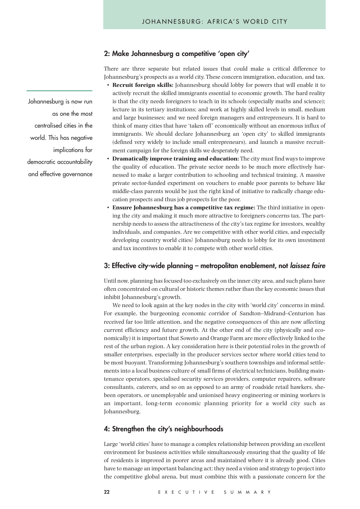#### **2: Make Johannesburg a competitive 'open city'**

There are three separate but related issues that could make a critical difference to Johannesburg's prospects as a world city. These concern immigration, education, and tax.

- **Recruit foreign skills:** Johannesburg should lobby for powers that will enable it to actively recruit the skilled immigrants essential to economic growth. The hard reality is that the city needs foreigners to teach in its schools (especially maths and science); lecture in its tertiary institutions; and work at highly skilled levels in small, medium and large businesses; and we need foreign managers and entrepreneurs. It is hard to think of many cities that have 'taken off' economically without an enormous influx of immigrants. We should declare Johannesburg an 'open city' to skilled immigrants (defined very widely to include small entrepreneurs), and launch a massive recruitment campaign for the foreign skills we desperately need.
- **Dramatically improve training and education:** The city must find ways to improve the quality of education. The private sector needs to be much more effectively harnessed to make a larger contribution to schooling and technical training. A massive private sector-funded experiment on vouchers to enable poor parents to behave like middle-class parents would be just the right kind of initiative to radically change education prospects and thus job prospects for the poor.
- **Ensure Johannesburg has a competitive tax regime:** The third initiative in opening the city and making it much more attractive to foreigners concerns tax. The partnership needs to assess the attractiveness of the city's tax regime for investors, wealthy individuals, and companies. Are we competitive with other world cities, and especially developing country world cities? Johannesburg needs to lobby for its own investment and tax incentives to enable it to compete with other world cities.

#### **3: Effective city-wide planning – metropolitan enablement, not laissez faire**

Until now, planning has focused too exclusively on the inner city area, and such plans have often concentrated on cultural or historic themes rather than the key economic issues that inhibit Johannesburg's growth.

We need to look again at the key nodes in the city with 'world city' concerns in mind. For example, the burgeoning economic corridor of Sandton–Midrand–Centurion has received far too little attention, and the negative consequences of this are now affecting current efficiency and future growth. At the other end of the city (physically and economically) it is important that Soweto and Orange Farm are more effectively linked to the rest of the urban region. A key consideration here is their potential roles in the growth of smaller enterprises, especially in the producer services sector where world cities tend to be most buoyant. Transforming Johannesburg's southern townships and informal settlements into a local business culture of small firms of electrical technicians, building maintenance operators, specialised security services providers, computer repairers, software consultants, caterers, and so on as opposed to an army of roadside retail hawkers, shebeen operators, or unemployable and unionised heavy engineering or mining workers is an important, long-term economic planning priority for a world city such as Johannesburg.

#### **4: Strengthen the city's neighbourhoods**

Large 'world cities' have to manage a complex relationship between providing an excellent environment for business activities while simultaneously ensuring that the quality of life of residents is improved in poorer areas and maintained where it is already good. Cities have to manage an important balancing act: they need a vision and strategy to project into the competitive global arena, but must combine this with a passionate concern for the

Johannesburg is now run as one the most centralised cities in the world. This has negative implications for democratic accountability and effective governance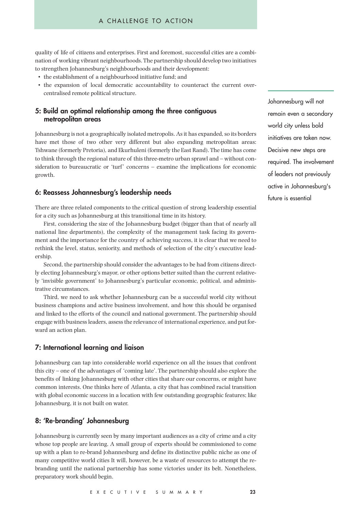quality of life of citizens and enterprises. First and foremost, successful cities are a combination of working vibrant neighbourhoods. The partnership should develop two initiatives to strengthen Johannesburg's neighbourhoods and their development:

- the establishment of a neighbourhood initiative fund; and
- the expansion of local democratic accountability to counteract the current overcentralised remote political structure.

## **5: Build an optimal relationship among the three contiguous metropolitan areas**

Johannesburg is not a geographically isolated metropolis. As it has expanded, so its borders have met those of two other very different but also expanding metropolitan areas: Tshwane (formerly Pretoria), and Ekurhuleni (formerly the East Rand). The time has come to think through the regional nature of this three-metro urban sprawl and – without consideration to bureaucratic or 'turf' concerns – examine the implications for economic growth.

## **6: Reassess Johannesburg's leadership needs**

There are three related components to the critical question of strong leadership essential for a city such as Johannesburg at this transitional time in its history.

First, considering the size of the Johannesburg budget (bigger than that of nearly all national line departments), the complexity of the management task facing its government and the importance for the country of achieving success, it is clear that we need to rethink the level, status, seniority, and methods of selection of the city's executive leadership.

Second, the partnership should consider the advantages to be had from citizens directly electing Johannesburg's mayor, or other options better suited than the current relatively 'invisible government' to Johannesburg's particular economic, political, and administrative circumstances.

Third, we need to ask whether Johannesburg can be a successful world city without business champions and active business involvement, and how this should be organised and linked to the efforts of the council and national government. The partnership should engage with business leaders, assess the relevance of international experience, and put forward an action plan.

#### **7: International learning and liaison**

Johannesburg can tap into considerable world experience on all the issues that confront this city – one of the advantages of 'coming late'. The partnership should also explore the benefits of linking Johannesburg with other cities that share our concerns, or might have common interests. One thinks here of Atlanta, a city that has combined racial transition with global economic success in a location with few outstanding geographic features; like Johannesburg, it is not built on water.

## **8: 'Re-branding' Johannesburg**

Johannesburg is currently seen by many important audiences as a city of crime and a city whose top people are leaving. A small group of experts should be commissioned to come up with a plan to re-brand Johannesburg and define its distinctive public niche as one of many competitive world cities It will, however, be a waste of resources to attempt the rebranding until the national partnership has some victories under its belt. Nonetheless, preparatory work should begin.

Johannesburg will not remain even a secondary world city unless bold initiatives are taken now. Decisive new steps are required. The involvement of leaders not previously active in Johannesburg's future is essential